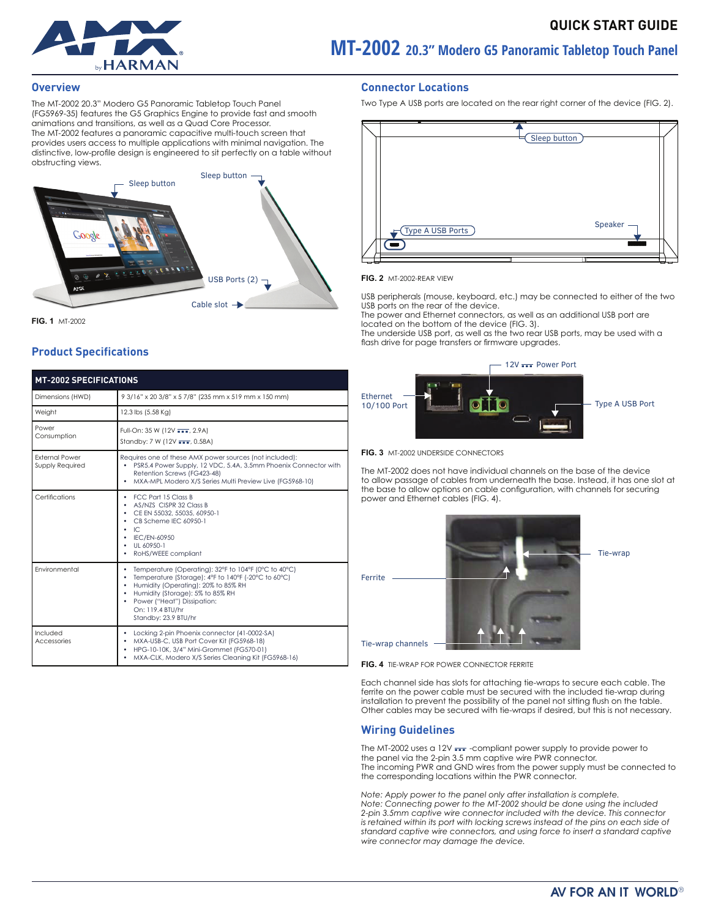

# **MT-2002 20.3" Modero G5 Panoramic Tabletop Touch Panel**

#### **Overview**

The MT-2002 20.3" Modero G5 Panoramic Tabletop Touch Panel (FG5969-35) features the G5 Graphics Engine to provide fast and smooth animations and transitions, as well as a Quad Core Processor. The MT-2002 features a panoramic capacitive multi-touch screen that provides users access to multiple applications with minimal navigation. The distinctive, low-profile design is engineered to sit perfectly on a table without obstructing views.



**FIG. 1** MT-2002

# **Product Specifications**

| <b>MT-2002 SPECIFICATIONS</b>            |                                                                                                                                                                                                                                                                                            |  |  |
|------------------------------------------|--------------------------------------------------------------------------------------------------------------------------------------------------------------------------------------------------------------------------------------------------------------------------------------------|--|--|
| Dimensions (HWD)                         | 9 3/16" x 20 3/8" x 5 7/8" (235 mm x 519 mm x 150 mm)                                                                                                                                                                                                                                      |  |  |
| Weight                                   | 12.3 lbs (5.58 Kg)                                                                                                                                                                                                                                                                         |  |  |
| Power<br>Consumption                     | Full-On: 35 W (12V TT, 2.9A)<br>Standby: 7 W (12V , 0.58A)                                                                                                                                                                                                                                 |  |  |
| <b>External Power</b><br>Supply Required | Requires one of these AMX power sources (not included):<br>PSR5.4 Power Supply, 12 VDC, 5.4A, 3.5mm Phoenix Connector with<br>Retention Screws (FG423-48)<br>MXA-MPL Modero X/S Series Multi Preview Live (FG5968-10)<br>٠                                                                 |  |  |
| Certifications                           | <b>FCC Part 15 Class B</b><br>۰<br>AS/NZS CISPR 32 Class B<br>٠<br>CE EN 55032, 55035, 60950-1<br>٠<br>CB Scheme IEC 60950-1<br>IC<br>٠<br>IEC/EN-60950<br>UL 60950-1<br>٠<br>RoHS/WEEE compliant<br>٠                                                                                     |  |  |
| Fnvironmental                            | Temperature (Operating): 32°F to 104°F (0°C to 40°C)<br>٠<br>Temperature (Storage): 4°F to 140°F (-20°C to 60°C)<br>٠<br>Humidity (Operating): 20% to 85% RH<br>٠<br>Humidity (Storage): 5% to 85% RH<br>٠<br>Power ("Heat") Dissipation:<br>٠<br>On: 119.4 BTU/hr<br>Standby: 23.9 BTU/hr |  |  |
| Included<br>Accessories                  | Locking 2-pin Phoenix connector (41-0002-SA)<br>MXA-USB-C, USB Port Cover Kit (FG5968-18)<br>٠<br>HPG-10-10K, 3/4" Mini-Grommet (FG570-01)<br>٠<br>MXA-CLK, Modero X/S Series Cleaning Kit (FG5968-16)                                                                                     |  |  |

#### **Connector Locations**

Two Type A USB ports are located on the rear right corner of the device (FIG. 2).



#### **FIG. 2** MT-2002-REAR VIEW

USB peripherals (mouse, keyboard, etc.) may be connected to either of the two USB ports on the rear of the device.

The power and Ethernet connectors, as well as an additional USB port are located on the bottom of the device (FIG. 3).

The underside USB port, as well as the two rear USB ports, may be used with a flash drive for page transfers or firmware upgrades.



**FIG. 3** MT-2002 UNDERSIDE CONNECTORS

The MT-2002 does not have individual channels on the base of the device to allow passage of cables from underneath the base. Instead, it has one slot at the base to allow options on cable configuration, with channels for securing power and Ethernet cables (FIG. 4).





Tie-wrap

Tie-wrap channels

**FIG. 4** TIE-WRAP FOR POWER CONNECTOR FERRITE

Each channel side has slots for attaching tie-wraps to secure each cable. The ferrite on the power cable must be secured with the included tie-wrap during installation to prevent the possibility of the panel not sitting flush on the table. Other cables may be secured with tie-wraps if desired, but this is not necessary.

#### **Wiring Guidelines**

The MT-2002 uses a 12V **...** -compliant power supply to provide power to the panel via the 2-pin 3.5 mm captive wire PWR connector. The incoming PWR and GND wires from the power supply must be connected to the corresponding locations within the PWR connector.

*Note: Apply power to the panel only after installation is complete. Note: Connecting power to the MT-2002 should be done using the included 2-pin 3.5mm captive wire connector included with the device. This connector is retained within its port with locking screws instead of the pins on each side of standard captive wire connectors, and using force to insert a standard captive wire connector may damage the device.*